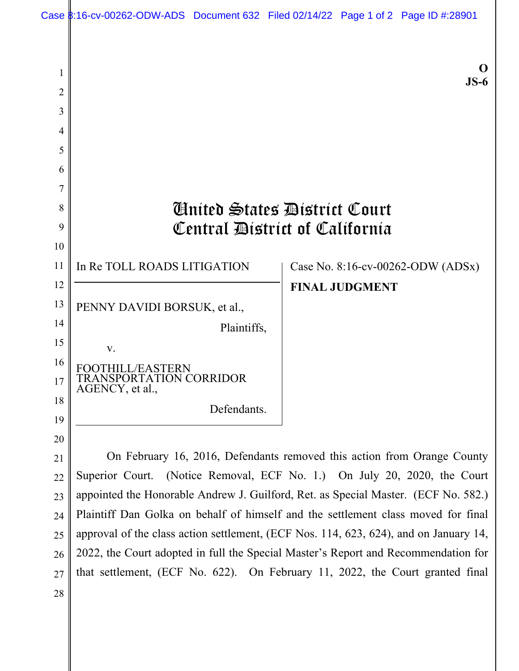|                | Case \$:16-cv-00262-ODW-ADS Document 632 Filed 02/14/22 Page 1 of 2 Page ID #:28901                                                                 |                       |                                   |
|----------------|-----------------------------------------------------------------------------------------------------------------------------------------------------|-----------------------|-----------------------------------|
|                |                                                                                                                                                     |                       |                                   |
| 1              |                                                                                                                                                     |                       | $JS-6$                            |
| $\overline{2}$ |                                                                                                                                                     |                       |                                   |
| 3              |                                                                                                                                                     |                       |                                   |
| 4              |                                                                                                                                                     |                       |                                   |
| 5              |                                                                                                                                                     |                       |                                   |
| 6              |                                                                                                                                                     |                       |                                   |
| 7              |                                                                                                                                                     |                       |                                   |
| 8              | <b>Anited States Bistrict Court</b>                                                                                                                 |                       |                                   |
| 9              | Central District of California                                                                                                                      |                       |                                   |
| 10             |                                                                                                                                                     |                       |                                   |
| 11             | In Re TOLL ROADS LITIGATION                                                                                                                         |                       | Case No. 8:16-cv-00262-ODW (ADSx) |
| 12             |                                                                                                                                                     | <b>FINAL JUDGMENT</b> |                                   |
| 13             | PENNY DAVIDI BORSUK, et al.,                                                                                                                        |                       |                                   |
| 14             | Plaintiffs,                                                                                                                                         |                       |                                   |
| 15             | V.                                                                                                                                                  |                       |                                   |
| 16             |                                                                                                                                                     |                       |                                   |
| 17             | <b>SPORTATION CORRIDOR</b><br>AGENCY, et al.,                                                                                                       |                       |                                   |
| 18             | Defendants.                                                                                                                                         |                       |                                   |
| 19             |                                                                                                                                                     |                       |                                   |
|                |                                                                                                                                                     |                       |                                   |
| 20             |                                                                                                                                                     |                       |                                   |
| 21<br>22       | On February 16, 2016, Defendants removed this action from Orange County<br>Superior Court. (Notice Removal, ECF No. 1.) On July 20, 2020, the Court |                       |                                   |

appointed the Honorable Andrew J. Guilford, Ret. as Special Master. (ECF No. 582.) Plaintiff Dan Golka on behalf of himself and the settlement class moved for final approval of the class action settlement, (ECF Nos. 114, 623, 624), and on January 14, 2022, the Court adopted in full the Special Master's Report and Recommendation for that settlement, (ECF No. 622). On February 11, 2022, the Court granted final 23 24 25 26 27

28